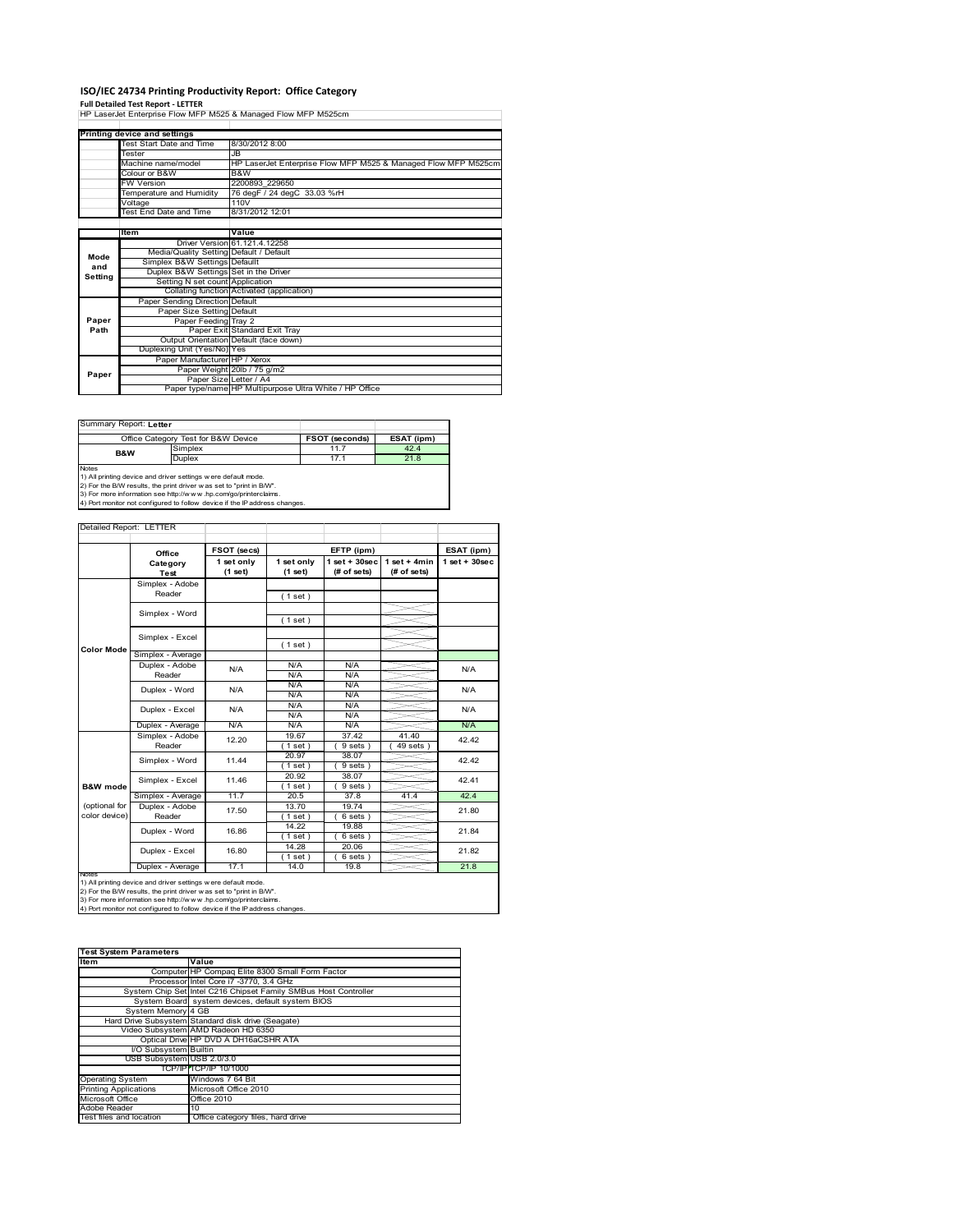# **ISO/IEC 24734 Printing Productivity Report: Office Category Full Detailed Test Report ‐ LETTER** HP LaserJet Enterprise Flow MFP M525 & Managed Flow MFP M525cm

|         | Printing device and settings            |                                                                |  |  |
|---------|-----------------------------------------|----------------------------------------------------------------|--|--|
|         | Test Start Date and Time                | 8/30/2012 8:00                                                 |  |  |
|         | Tester                                  | JB.                                                            |  |  |
|         | Machine name/model                      | HP LaserJet Enterprise Flow MFP M525 & Managed Flow MFP M525cm |  |  |
|         | Colour or B&W                           | B&W                                                            |  |  |
|         | <b>FW Version</b>                       | 2200893 229650                                                 |  |  |
|         | Temperature and Humidity                | 76 degF / 24 degC 33.03 %rH                                    |  |  |
|         | Voltage                                 | 110V                                                           |  |  |
|         | Test End Date and Time                  | 8/31/2012 12:01                                                |  |  |
|         |                                         |                                                                |  |  |
|         | <b>Item</b>                             | Value                                                          |  |  |
|         |                                         | Driver Version 61.121.4.12258                                  |  |  |
| Mode    | Media/Quality Setting Default / Default |                                                                |  |  |
| and     | Simplex B&W Settings Defaullt           |                                                                |  |  |
| Setting | Duplex B&W Settings Set in the Driver   |                                                                |  |  |
|         | Setting N set count Application         |                                                                |  |  |
|         |                                         | Collating function Activated (application)                     |  |  |
|         | Paper Sending Direction Default         |                                                                |  |  |
|         | Paper Size Setting Default              |                                                                |  |  |
| Paper   | Paper Feeding Tray 2                    |                                                                |  |  |
| Path    |                                         | Paper Exit Standard Exit Tray                                  |  |  |
|         |                                         | Output Orientation Default (face down)                         |  |  |
|         | Duplexing Unit (Yes/No) Yes             |                                                                |  |  |
|         | Paper Manufacturer HP / Xerox           |                                                                |  |  |
| Paper   |                                         | Paper Weight 20lb / 75 g/m2                                    |  |  |
|         |                                         | Paper Size Letter / A4                                         |  |  |
|         |                                         | Paper type/name HP Multipurpose Ultra White / HP Office        |  |  |

| Summary Report: Letter                                                                     |                                                                                                                                                                                                          |                |            |  |  |
|--------------------------------------------------------------------------------------------|----------------------------------------------------------------------------------------------------------------------------------------------------------------------------------------------------------|----------------|------------|--|--|
|                                                                                            | Office Category Test for B&W Device                                                                                                                                                                      | FSOT (seconds) | ESAT (ipm) |  |  |
| <b>B&amp;W</b>                                                                             | Simplex                                                                                                                                                                                                  | 11.7           | 42.4       |  |  |
|                                                                                            | Duplex                                                                                                                                                                                                   | 17.1           | 21.8       |  |  |
| <b>Notes</b><br>4) Port monitor not configured to follow device if the IP address changes. | 1) All printing device and driver settings were default mode.<br>2) For the B/W results, the print driver w as set to "print in B/W".<br>3) For more information see http://www.hp.com/go/printerclaims. |                |            |  |  |

|                     | Office            | FSOT (secs)           | EFTP (ipm)            |                                 |                                | ESAT (ipm)         |  |
|---------------------|-------------------|-----------------------|-----------------------|---------------------------------|--------------------------------|--------------------|--|
|                     | Category<br>Test  | 1 set only<br>(1 set) | 1 set only<br>(1 set) | $1 set + 30 sec$<br>(# of sets) | $1 set + 4 min$<br>(# of sets) | $1$ set + $30$ sec |  |
|                     | Simplex - Adobe   |                       |                       |                                 |                                |                    |  |
|                     | Reader            |                       | (1 set)               |                                 |                                |                    |  |
|                     |                   |                       |                       |                                 |                                |                    |  |
|                     | Simplex - Word    |                       | (1 set)               |                                 |                                |                    |  |
|                     |                   |                       |                       |                                 |                                |                    |  |
|                     | Simplex - Excel   |                       | (1 set)               |                                 |                                |                    |  |
| Color Mode          | Simplex - Average |                       |                       |                                 |                                |                    |  |
|                     | Duplex - Adobe    | N/A                   | N/A                   | N/A                             |                                | N/A                |  |
|                     | Reader            |                       | N/A                   | N/A                             |                                |                    |  |
|                     | Duplex - Word     | N/A                   | N/A                   | N/A                             |                                | N/A                |  |
|                     |                   |                       | N/A                   | N/A                             |                                |                    |  |
|                     | Duplex - Excel    | N/A                   | N/A                   | N/A                             |                                | N/A                |  |
|                     |                   |                       | N/A                   | N/A                             |                                |                    |  |
|                     | Duplex - Average  | N/A                   | N/A                   | N/A                             |                                | N/A                |  |
|                     | Simplex - Adobe   | 12.20                 | 19.67                 | 37.42                           | 41.40                          | 42.42              |  |
|                     | Reader            |                       | $1$ set $)$           | 9 sets                          | 49 sets                        |                    |  |
|                     | Simplex - Word    | 11.44                 | 20.97                 | 38.07                           |                                | 42.42              |  |
|                     |                   |                       | (1 set)               | 9 sets)                         |                                |                    |  |
|                     | Simplex - Excel   | 11.46                 | 20.92                 | 38.07                           |                                | 42.41              |  |
| <b>B&amp;W</b> mode |                   |                       | $1$ set)              | 9 sets)                         |                                |                    |  |
|                     | Simplex - Average | 11.7                  | 20.5                  | 37.8                            | 41.4                           | 42.4               |  |
| (optional for       | Duplex - Adobe    | 17.50                 | 13.70                 | 19.74                           |                                | 21.80              |  |
| color device)       | Reader            |                       | $1$ set)              | 6 sets)                         |                                |                    |  |
|                     | Duplex - Word     | 16.86                 | 14.22                 | 19.88                           |                                | 21.84              |  |
|                     |                   |                       | $1$ set)              | 6 sets)                         |                                |                    |  |
|                     | Duplex - Excel    | 16.80                 | 14.28                 | 20.06                           |                                | 21.82              |  |
|                     |                   |                       | $1$ set)              | 6 sets)                         |                                |                    |  |
|                     | Duplex - Average  | 17.1                  | 14.0                  | 19.8                            |                                | 21.8               |  |

| <b>Test System Parameters</b> |                                                                 |  |  |  |
|-------------------------------|-----------------------------------------------------------------|--|--|--|
| <b>Item</b>                   | Value                                                           |  |  |  |
|                               | Computer HP Compaq Elite 8300 Small Form Factor                 |  |  |  |
|                               | Processor Intel Core i7 -3770, 3.4 GHz                          |  |  |  |
|                               | System Chip Set Intel C216 Chipset Family SMBus Host Controller |  |  |  |
|                               | System Board system devices, default system BIOS                |  |  |  |
| System Memory 4 GB            |                                                                 |  |  |  |
|                               | Hard Drive Subsystem Standard disk drive (Seagate)              |  |  |  |
|                               | Video Subsystem AMD Radeon HD 6350                              |  |  |  |
|                               | Optical Drive HP DVD A DH16aCSHR ATA                            |  |  |  |
| I/O Subsystem Builtin         |                                                                 |  |  |  |
| USB Subsystem USB 2.0/3.0     |                                                                 |  |  |  |
|                               | TCP/IP TCP/IP 10/1000                                           |  |  |  |
| <b>Operating System</b>       | Windows 7 64 Bit                                                |  |  |  |
| <b>Printing Applications</b>  | Microsoft Office 2010                                           |  |  |  |
| Microsoft Office              | Office 2010                                                     |  |  |  |
| Adobe Reader                  | 10                                                              |  |  |  |
| Test files and location       | Office category files, hard drive                               |  |  |  |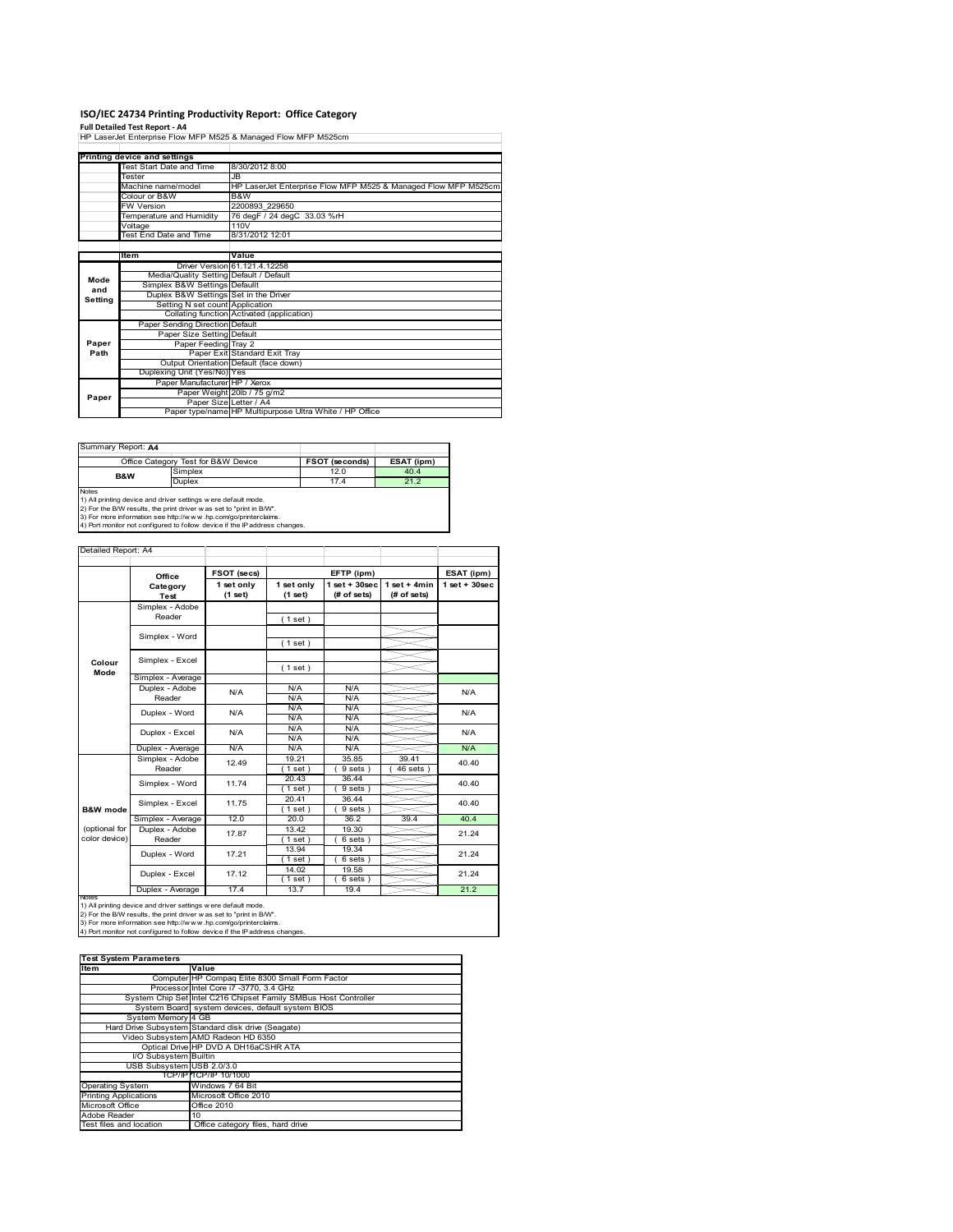#### **ISO/IEC 24734 Printing Productivity Report: Office Category**

**Full Detailed Test Report ‐ A4** HP LaserJet Enterprise Flow MFP M525 & Managed Flow MFP M525cm

|         | Printing device and settings            |                                                                |  |
|---------|-----------------------------------------|----------------------------------------------------------------|--|
|         | Test Start Date and Time                | 8/30/2012 8:00                                                 |  |
|         | Tester                                  | JB.                                                            |  |
|         | Machine name/model                      | HP LaserJet Enterprise Flow MFP M525 & Managed Flow MFP M525cm |  |
|         | Colour or B&W                           | B&W                                                            |  |
|         | <b>FW Version</b>                       | 2200893 229650                                                 |  |
|         | Temperature and Humidity                | 76 degF / 24 degC 33.03 %rH                                    |  |
|         | Voltage                                 | 110V                                                           |  |
|         | Test End Date and Time                  | 8/31/2012 12:01                                                |  |
|         |                                         |                                                                |  |
|         | Item                                    | Value                                                          |  |
|         |                                         | Driver Version 61, 121, 4, 12258                               |  |
| Mode    | Media/Quality Setting Default / Default |                                                                |  |
| and     | Simplex B&W Settings Defaullt           |                                                                |  |
| Setting | Duplex B&W Settings Set in the Driver   |                                                                |  |
|         | Setting N set count Application         |                                                                |  |
|         |                                         | Collating function Activated (application)                     |  |
|         | Paper Sending Direction Default         |                                                                |  |
|         | Paper Size Setting Default              |                                                                |  |
| Paper   | Paper Feeding Tray 2                    |                                                                |  |
| Path    |                                         | Paper Exit Standard Exit Tray                                  |  |
|         |                                         | Output Orientation Default (face down)                         |  |
|         | Duplexing Unit (Yes/No) Yes             |                                                                |  |
|         | Paper Manufacturer HP / Xerox           |                                                                |  |
| Paper   |                                         | Paper Weight 20lb / 75 g/m2                                    |  |
|         |                                         | Paper Size Letter / A4                                         |  |
|         |                                         | Paper type/name HP Multipurpose Ultra White / HP Office        |  |

Summary Report: **A4**

|                | Office Category Test for B&W Device                          | <b>FSOT (seconds)</b> | ESAT (ipm) |
|----------------|--------------------------------------------------------------|-----------------------|------------|
| <b>B&amp;W</b> | Simplex                                                      | 12.0                  | 40.4       |
|                | Duplex                                                       | 17.4                  | 21.2       |
| <b>Notes</b>   |                                                              |                       |            |
|                | 1) All printing device and driver settings were default mode |                       |            |

1) All printing device and driver settings were default mode.<br>2) For the B/W results, the print driver was set to "print in B/W".<br>3) For more information see http://www.hp.com/go/printerclaims.<br>4) Port monitor not configur

| Detailed Report: A4            |                           |                       |                       |                                  |                                |                   |  |
|--------------------------------|---------------------------|-----------------------|-----------------------|----------------------------------|--------------------------------|-------------------|--|
|                                | Office                    | FSOT (secs)           |                       | EFTP (ipm)                       |                                | ESAT (ipm)        |  |
|                                | Category<br><b>Test</b>   | 1 set only<br>(1 set) | 1 set only<br>(1 set) | $1$ set $+30$ sec<br>(# of sets) | $1$ set + 4min<br>$#$ of sets) | $1$ set $+30$ sec |  |
|                                | Simplex - Adobe<br>Reader |                       | (1 set)               |                                  |                                |                   |  |
|                                | Simplex - Word            |                       | (1 set)               |                                  |                                |                   |  |
| Colour                         | Simplex - Excel           |                       | (1 set)               |                                  |                                |                   |  |
| Mode                           | Simplex - Average         |                       |                       |                                  |                                |                   |  |
|                                | Duplex - Adobe<br>Reader  | N/A                   | N/A<br>N/A            | N/A<br>N/A                       |                                | N/A               |  |
|                                | Duplex - Word             | N/A                   | N/A<br>N/A            | N/A<br>N/A                       |                                | N/A               |  |
|                                | Duplex - Excel            | N/A                   | N/A<br>N/A            | N/A<br>N/A                       |                                | N/A               |  |
|                                | Duplex - Average          | N/A                   | N/A                   | N/A                              |                                | N/A               |  |
|                                | Simplex - Adobe<br>Reader | 12.49                 | 19.21<br>$1$ set)     | 35.85<br>9 sets                  | 39.41<br>46 sets               | 40.40             |  |
|                                | Simplex - Word            | 11.74                 | 20.43<br>$1$ set)     | 36.44<br>9 sets)                 |                                | 40.40             |  |
| <b>B&amp;W</b> mode            | Simplex - Excel           | 11.75                 | 20.41<br>$1$ set)     | 36.44<br>9 sets)                 |                                | 40.40             |  |
|                                | Simplex - Average         | 12.0                  | 20.0                  | 36.2                             | 39.4                           | 40.4              |  |
| (optional for<br>color device) | Duplex - Adobe<br>Reader  | 17.87                 | 13.42<br>$1$ set)     | 19.30<br>6 sets)                 |                                | 21.24             |  |
|                                | Duplex - Word             | 17.21                 | 13.94<br>$1$ set)     | 19.34<br>6 sets)                 |                                | 21.24             |  |
|                                | Duplex - Excel            | 17.12                 | 14.02<br>$1$ set      | 19.58<br>$6$ sets $)$            |                                | 21.24             |  |
|                                | Duplex - Average          | 17.4                  | 13.7                  | 19.4                             |                                | 21.2              |  |

nates<br>1) All printing device and driver settings were default mode.<br>2) For the B/W results, the print driver was set to "print in B/W".<br>3) For more information see http://www.hp.com/go/printerclaims.<br>4) Por monitor not con

| <b>Test System Parameters</b> |                                                                 |  |  |
|-------------------------------|-----------------------------------------------------------------|--|--|
| <b>Item</b>                   | Value                                                           |  |  |
|                               | Computer HP Compaq Elite 8300 Small Form Factor                 |  |  |
|                               | Processor Intel Core i7 -3770, 3.4 GHz                          |  |  |
|                               | System Chip Set Intel C216 Chipset Family SMBus Host Controller |  |  |
|                               | System Board system devices, default system BIOS                |  |  |
| System Memory 4 GB            |                                                                 |  |  |
|                               | Hard Drive Subsystem Standard disk drive (Seagate)              |  |  |
|                               | Video Subsystem AMD Radeon HD 6350                              |  |  |
|                               | Optical Drive HP DVD A DH16aCSHR ATA                            |  |  |
| I/O Subsystem Builtin         |                                                                 |  |  |
| USB Subsystem USB 2.0/3.0     |                                                                 |  |  |
|                               | TCP/IP TCP/IP 10/1000                                           |  |  |
| <b>Operating System</b>       | Windows 7 64 Bit                                                |  |  |
| <b>Printing Applications</b>  | Microsoft Office 2010                                           |  |  |
| Microsoft Office              | Office 2010                                                     |  |  |
| Adobe Reader                  | 10                                                              |  |  |
| Test files and location       | Office category files, hard drive                               |  |  |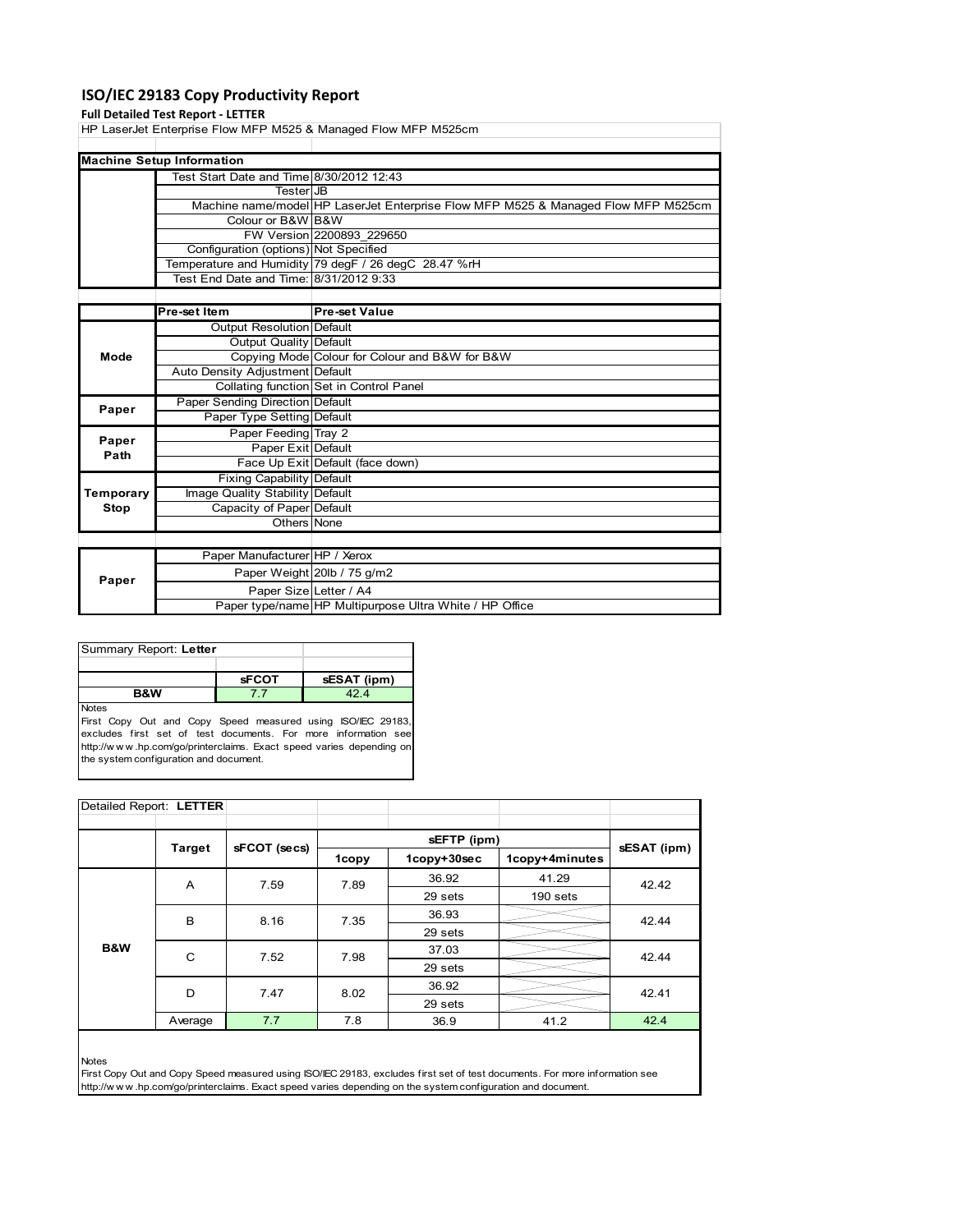## **ISO/IEC 29183 Copy Productivity Report**

#### **Full Detailed Test Report ‐ LETTER**

HP LaserJet Enterprise Flow MFP M525 & Managed Flow MFP M525cm

| <b>Machine Setup Information</b>         |                                                                                   |  |  |  |  |
|------------------------------------------|-----------------------------------------------------------------------------------|--|--|--|--|
| Test Start Date and Time 8/30/2012 12:43 |                                                                                   |  |  |  |  |
| TesterIJB                                |                                                                                   |  |  |  |  |
|                                          | Machine name/model HP LaserJet Enterprise Flow MFP M525 & Managed Flow MFP M525cm |  |  |  |  |
| Colour or B&W B&W                        |                                                                                   |  |  |  |  |
|                                          | FW Version 2200893 229650                                                         |  |  |  |  |
| Configuration (options) Not Specified    |                                                                                   |  |  |  |  |
|                                          | Temperature and Humidity 79 degF / 26 degC 28.47 %rH                              |  |  |  |  |
| Test End Date and Time: 8/31/2012 9:33   |                                                                                   |  |  |  |  |

|           | Pre-set Item                     | <b>Pre-set Value</b>                                    |
|-----------|----------------------------------|---------------------------------------------------------|
|           | Output Resolution Default        |                                                         |
|           | Output Quality Default           |                                                         |
| Mode      |                                  | Copying Mode Colour for Colour and B&W for B&W          |
|           | Auto Density Adjustment Default  |                                                         |
|           |                                  | Collating function Set in Control Panel                 |
| Paper     | Paper Sending Direction Default  |                                                         |
|           | Paper Type Setting Default       |                                                         |
| Paper     | Paper Feeding Tray 2             |                                                         |
| Path      | Paper Exit Default               |                                                         |
|           |                                  | Face Up Exit Default (face down)                        |
|           | <b>Fixing Capability Default</b> |                                                         |
| Temporary | Image Quality Stability Default  |                                                         |
| Stop      | Capacity of Paper Default        |                                                         |
|           | Others None                      |                                                         |
|           |                                  |                                                         |
|           | Paper Manufacturer HP / Xerox    |                                                         |
| Paper     |                                  | Paper Weight 20lb / 75 g/m2                             |
|           | Paper Size Letter / A4           |                                                         |
|           |                                  | Paper type/name HP Multipurpose Ultra White / HP Office |

| Summary Report: Letter |              |             |
|------------------------|--------------|-------------|
|                        |              |             |
|                        | <b>sFCOT</b> | sESAT (ipm) |
| <b>B&amp;W</b>         |              | 424         |
| <b>Notes</b><br>. .    |              | $      -$   |

First Copy Out and Copy Speed measured using ISO/IEC 29183, excludes first set of test documents. For more information see http://w w w .hp.com/go/printerclaims. Exact speed varies depending or the system configuration and document.

| Detailed Report: LETTER |               |              |              |             |                |                         |
|-------------------------|---------------|--------------|--------------|-------------|----------------|-------------------------|
|                         |               |              |              |             |                |                         |
|                         | <b>Target</b> | sFCOT (secs) |              | sEFTP (ipm) |                | sESAT (ipm)             |
|                         |               |              | <b>1copy</b> | 1copy+30sec | 1copy+4minutes |                         |
|                         | A             | 7.59         | 7.89         | 36.92       | 41.29          | 42.42                   |
|                         |               |              |              | 29 sets     | $190$ sets     |                         |
|                         | B             | 8.16         | 7.35         | 36.93       |                | 42.44<br>42.44<br>42.41 |
|                         |               |              |              | 29 sets     |                |                         |
| B&W                     | C             | 7.52         | 7.98         | 37.03       |                |                         |
|                         |               |              |              | 29 sets     |                |                         |
|                         | D             | 7.47         | 8.02         | 36.92       |                |                         |
|                         |               |              |              | 29 sets     |                |                         |
|                         | Average       | 7.7          | 7.8          | 36.9        | 41.2           | 42.4                    |

Notes

First Copy Out and Copy Speed measured using ISO/IEC 29183, excludes first set of test documents. For more information see http://w w w .hp.com/go/printerclaims. Exact speed varies depending on the system configuration and document.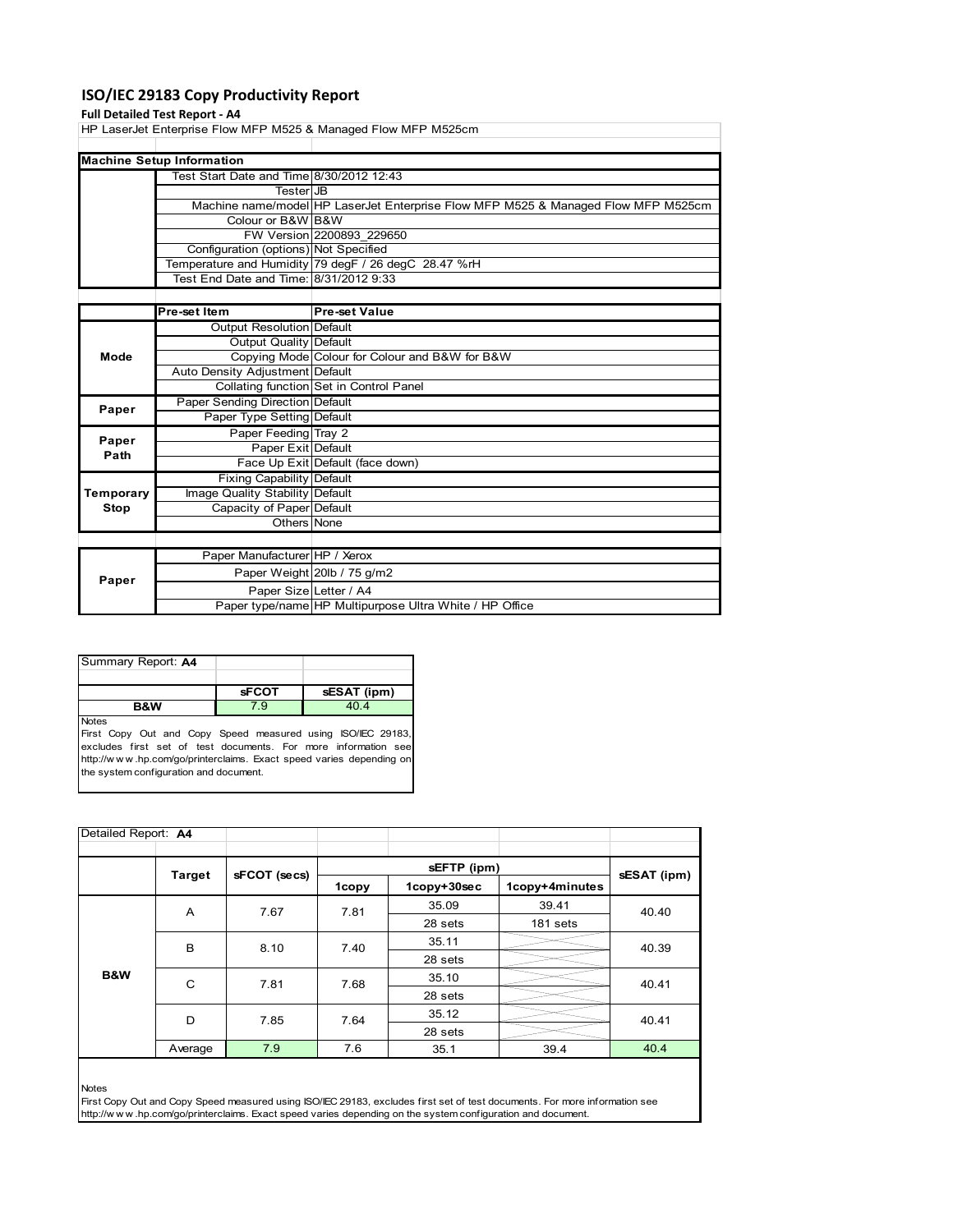## **ISO/IEC 29183 Copy Productivity Report**

#### **Full Detailed Test Report ‐ A4**

HP LaserJet Enterprise Flow MFP M525 & Managed Flow MFP M525cm

| <b>Machine Setup Information</b>         |                                                                                   |
|------------------------------------------|-----------------------------------------------------------------------------------|
| Test Start Date and Time 8/30/2012 12:43 |                                                                                   |
| TesterIJB                                |                                                                                   |
|                                          | Machine name/model HP LaserJet Enterprise Flow MFP M525 & Managed Flow MFP M525cm |
| Colour or B&W B&W                        |                                                                                   |
|                                          | FW Version 2200893 229650                                                         |
| Configuration (options) Not Specified    |                                                                                   |
|                                          | Temperature and Humidity 79 degF / 26 degC 28.47 %rH                              |
| Test End Date and Time: 8/31/2012 9:33   |                                                                                   |

|                   | Pre-set Item                     | <b>Pre-set Value</b>                                    |
|-------------------|----------------------------------|---------------------------------------------------------|
|                   | Output Resolution Default        |                                                         |
|                   | Output Quality Default           |                                                         |
| Mode              |                                  | Copying Mode Colour for Colour and B&W for B&W          |
|                   | Auto Density Adjustment Default  |                                                         |
|                   |                                  | Collating function Set in Control Panel                 |
| Paper             | Paper Sending Direction Default  |                                                         |
|                   | Paper Type Setting Default       |                                                         |
|                   | Paper Feeding Tray 2             |                                                         |
| Paper<br>Path     | Paper Exit Default               |                                                         |
|                   |                                  | Face Up Exit Default (face down)                        |
| Temporary<br>Stop | <b>Fixing Capability Default</b> |                                                         |
|                   | Image Quality Stability Default  |                                                         |
|                   | Capacity of Paper Default        |                                                         |
|                   | Others None                      |                                                         |
|                   |                                  |                                                         |
|                   | Paper Manufacturer HP / Xerox    |                                                         |
| Paper             |                                  | Paper Weight 20lb / 75 g/m2                             |
|                   | Paper Size Letter / A4           |                                                         |
|                   |                                  | Paper type/name HP Multipurpose Ultra White / HP Office |

| Summary Report: A4 |              |             |
|--------------------|--------------|-------------|
|                    |              |             |
|                    | <b>sFCOT</b> | sESAT (ipm) |
| <b>B&amp;W</b>     | $\cdot$ 9    | 40.4        |
| <b>Notes</b>       |              |             |

First Copy Out and Copy Speed measured using ISO/IEC 29183, excludes first set of test documents. For more information see http://w w w .hp.com/go/printerclaims. Exact speed varies depending on the system configuration and document.

| Detailed Report: A4 |         |              |       |             |                |             |
|---------------------|---------|--------------|-------|-------------|----------------|-------------|
|                     | Target  | sFCOT (secs) |       |             |                |             |
|                     |         |              | 1copy | 1copy+30sec | 1copy+4minutes | sESAT (ipm) |
|                     | A       | 7.67         | 7.81  | 35.09       | 39.41          | 40.40       |
|                     |         |              |       | 28 sets     | 181 sets       |             |
|                     | B       | 8.10         | 7.40  | 35.11       |                | 40.39       |
|                     |         |              |       | 28 sets     |                |             |
| B&W                 | C       | 7.81         | 7.68  | 35.10       |                | 40.41       |
|                     |         |              |       | 28 sets     |                |             |
|                     | D       | 7.85         | 7.64  | 35.12       |                | 40.41       |
|                     |         |              |       | 28 sets     |                |             |
|                     | Average | 7.9          | 7.6   | 35.1        | 39.4           | 40.4        |

Notes

First Copy Out and Copy Speed measured using ISO/IEC 29183, excludes first set of test documents. For more information see http://w w w .hp.com/go/printerclaims. Exact speed varies depending on the system configuration and document.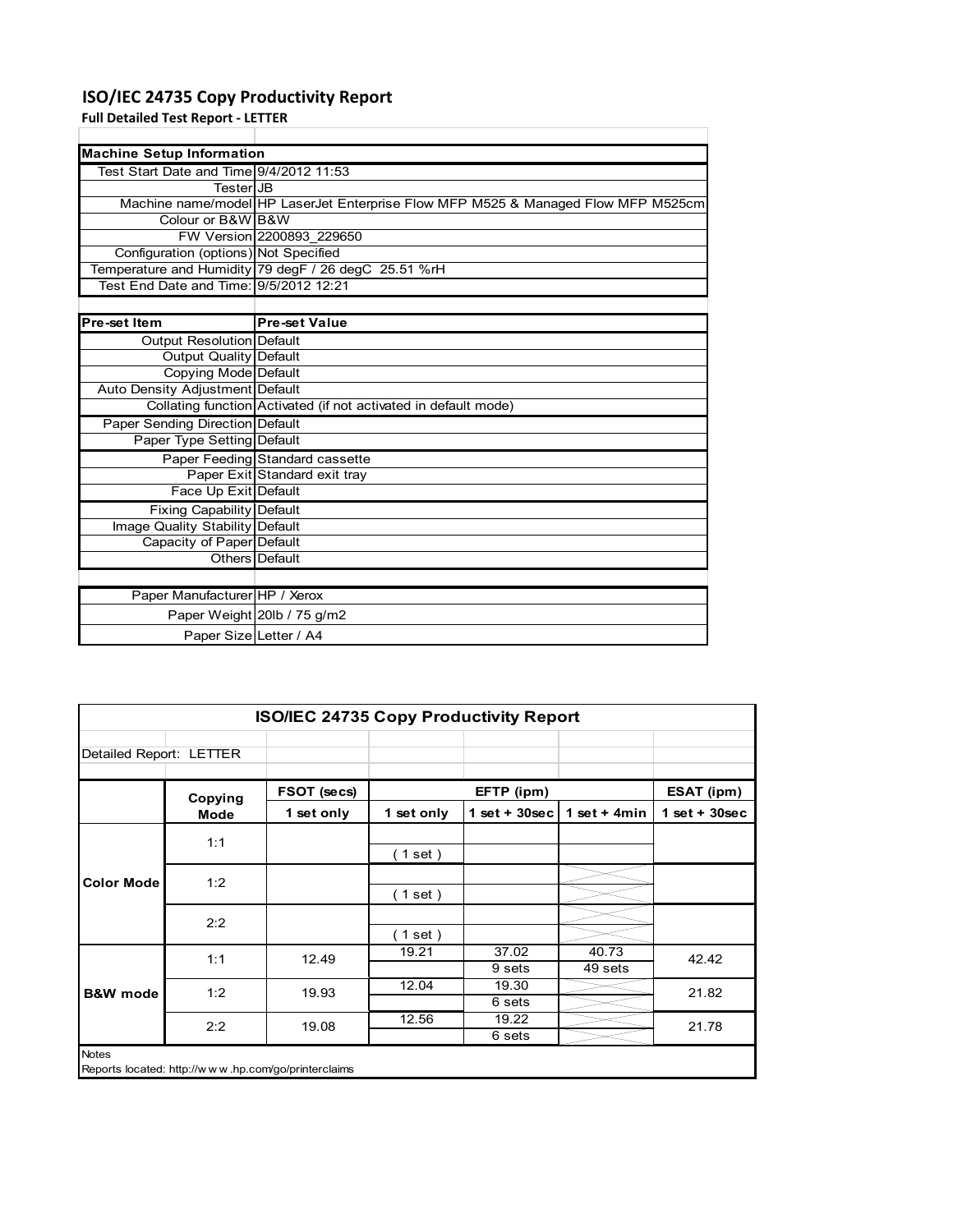## **ISO/IEC 24735 Copy Productivity Report**

**Full Detailed Test Report ‐ LETTER**

| <b>Machine Setup Information</b>        |                                                                                   |  |  |  |
|-----------------------------------------|-----------------------------------------------------------------------------------|--|--|--|
| Test Start Date and Time 9/4/2012 11:53 |                                                                                   |  |  |  |
| TesterIJB                               |                                                                                   |  |  |  |
|                                         | Machine name/model HP LaserJet Enterprise Flow MFP M525 & Managed Flow MFP M525cm |  |  |  |
| Colour or B&W B&W                       |                                                                                   |  |  |  |
|                                         | FW Version 2200893 229650                                                         |  |  |  |
| Configuration (options) Not Specified   |                                                                                   |  |  |  |
|                                         | Temperature and Humidity 79 degF / 26 degC 25.51 %rH                              |  |  |  |
| Test End Date and Time: 9/5/2012 12:21  |                                                                                   |  |  |  |
|                                         |                                                                                   |  |  |  |

Ĥ.

| <b>Pre-set Item</b>              | <b>Pre-set Value</b>                                            |
|----------------------------------|-----------------------------------------------------------------|
| Output Resolution Default        |                                                                 |
| Output Quality Default           |                                                                 |
| Copying Mode Default             |                                                                 |
| Auto Density Adjustment Default  |                                                                 |
|                                  | Collating function Activated (if not activated in default mode) |
| Paper Sending Direction Default  |                                                                 |
| Paper Type Setting Default       |                                                                 |
|                                  | Paper Feeding Standard cassette                                 |
|                                  | Paper Exit Standard exit tray                                   |
| Face Up Exit Default             |                                                                 |
| <b>Fixing Capability Default</b> |                                                                 |
| Image Quality Stability Default  |                                                                 |
| Capacity of Paper Default        |                                                                 |
|                                  | Others Default                                                  |
|                                  |                                                                 |
| Paper Manufacturer HP / Xerox    |                                                                 |
|                                  | Paper Weight 20lb / 75 g/m2                                     |
| Paper Size Letter / A4           |                                                                 |

|                         |         | ISO/IEC 24735 Copy Productivity Report              |            |                 |                  |                 |
|-------------------------|---------|-----------------------------------------------------|------------|-----------------|------------------|-----------------|
| Detailed Report: LETTER |         |                                                     |            |                 |                  |                 |
|                         | Copying | FSOT (secs)                                         |            | EFTP (ipm)      |                  | ESAT (ipm)      |
|                         | Mode    | 1 set only                                          | 1 set only | $1$ set + 30sec | 1 set $+$ 4min   | $1$ set + 30sec |
|                         | 1:1     |                                                     | (1 set)    |                 |                  |                 |
| <b>Color Mode</b>       | 1:2     |                                                     | (1 set )   |                 |                  |                 |
|                         | 2:2     |                                                     | (1 set)    |                 |                  |                 |
| <b>B&amp;W</b> mode     | 1:1     | 12.49                                               | 19.21      | 37.02<br>9 sets | 40.73<br>49 sets | 42.42           |
|                         | 1:2     | 19.93                                               | 12.04      | 19.30<br>6 sets |                  | 21.82           |
|                         | 2:2     | 19.08                                               | 12.56      | 19.22<br>6 sets |                  | 21.78           |
| <b>Notes</b>            |         | Reports located: http://www.hp.com/go/printerclaims |            |                 |                  |                 |